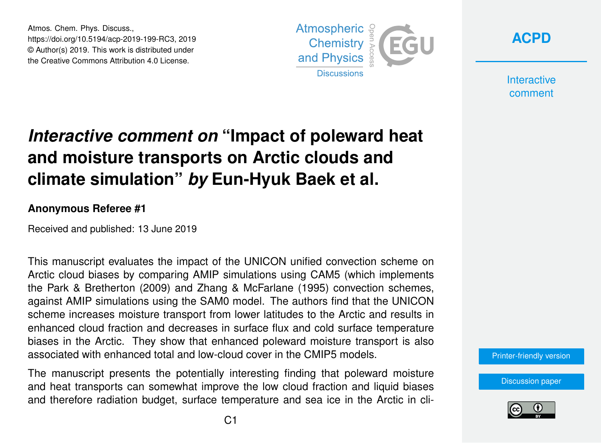Atmos. Chem. Phys. Discuss., https://doi.org/10.5194/acp-2019-199-RC3, 2019 © Author(s) 2019. This work is distributed under the Creative Commons Attribution 4.0 License.





**Interactive** comment

## *Interactive comment on* **"Impact of poleward heat and moisture transports on Arctic clouds and climate simulation"** *by* **Eun-Hyuk Baek et al.**

## **Anonymous Referee #1**

Received and published: 13 June 2019

This manuscript evaluates the impact of the UNICON unified convection scheme on Arctic cloud biases by comparing AMIP simulations using CAM5 (which implements the Park & Bretherton (2009) and Zhang & McFarlane (1995) convection schemes, against AMIP simulations using the SAM0 model. The authors find that the UNICON scheme increases moisture transport from lower latitudes to the Arctic and results in enhanced cloud fraction and decreases in surface flux and cold surface temperature biases in the Arctic. They show that enhanced poleward moisture transport is also associated with enhanced total and low-cloud cover in the CMIP5 models.

The manuscript presents the potentially interesting finding that poleward moisture and heat transports can somewhat improve the low cloud fraction and liquid biases and therefore radiation budget, surface temperature and sea ice in the Arctic in cli-



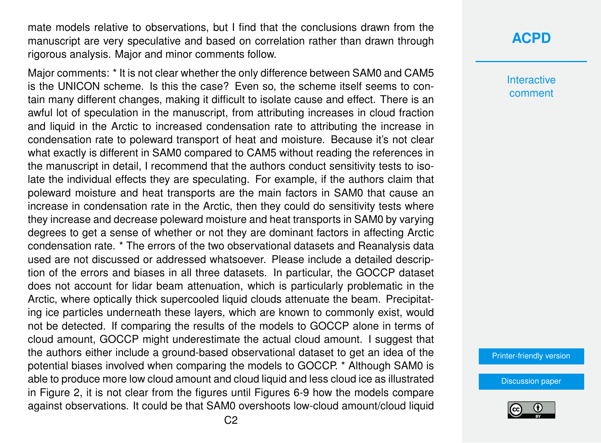mate models relative to observations, but I find that the conclusions drawn from the manuscript are very speculative and based on correlation rather than drawn through rigorous analysis. Major and minor comments follow.

Major comments: \* It is not clear whether the only difference between SAM0 and CAM5 is the UNICON scheme. Is this the case? Even so, the scheme itself seems to contain many different changes, making it difficult to isolate cause and effect. There is an awful lot of speculation in the manuscript, from attributing increases in cloud fraction and liquid in the Arctic to increased condensation rate to attributing the increase in condensation rate to poleward transport of heat and moisture. Because it's not clear what exactly is different in SAM0 compared to CAM5 without reading the references in the manuscript in detail, I recommend that the authors conduct sensitivity tests to isolate the individual effects they are speculating. For example, if the authors claim that poleward moisture and heat transports are the main factors in SAM0 that cause an increase in condensation rate in the Arctic, then they could do sensitivity tests where they increase and decrease poleward moisture and heat transports in SAM0 by varying degrees to get a sense of whether or not they are dominant factors in affecting Arctic condensation rate. \* The errors of the two observational datasets and Reanalysis data used are not discussed or addressed whatsoever. Please include a detailed description of the errors and biases in all three datasets. In particular, the GOCCP dataset does not account for lidar beam attenuation, which is particularly problematic in the Arctic, where optically thick supercooled liquid clouds attenuate the beam. Precipitating ice particles underneath these layers, which are known to commonly exist, would not be detected. If comparing the results of the models to GOCCP alone in terms of cloud amount, GOCCP might underestimate the actual cloud amount. I suggest that the authors either include a ground-based observational dataset to get an idea of the potential biases involved when comparing the models to GOCCP. \* Although SAM0 is able to produce more low cloud amount and cloud liquid and less cloud ice as illustrated in Figure 2, it is not clear from the figures until Figures 6-9 how the models compare against observations. It could be that SAM0 overshoots low-cloud amount/cloud liquid

## **[ACPD](https://www.atmos-chem-phys-discuss.net/)**

**Interactive** comment

[Printer-friendly version](https://www.atmos-chem-phys-discuss.net/acp-2019-199/acp-2019-199-RC3-print.pdf)

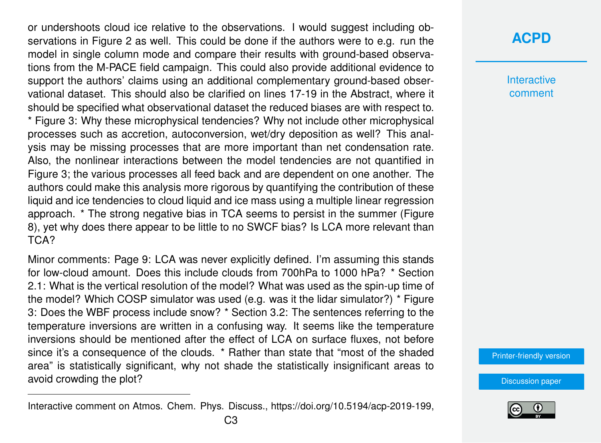or undershoots cloud ice relative to the observations. I would suggest including observations in Figure 2 as well. This could be done if the authors were to e.g. run the model in single column mode and compare their results with ground-based observations from the M-PACE field campaign. This could also provide additional evidence to support the authors' claims using an additional complementary ground-based observational dataset. This should also be clarified on lines 17-19 in the Abstract, where it should be specified what observational dataset the reduced biases are with respect to. \* Figure 3: Why these microphysical tendencies? Why not include other microphysical processes such as accretion, autoconversion, wet/dry deposition as well? This analysis may be missing processes that are more important than net condensation rate. Also, the nonlinear interactions between the model tendencies are not quantified in Figure 3; the various processes all feed back and are dependent on one another. The authors could make this analysis more rigorous by quantifying the contribution of these liquid and ice tendencies to cloud liquid and ice mass using a multiple linear regression approach. \* The strong negative bias in TCA seems to persist in the summer (Figure 8), yet why does there appear to be little to no SWCF bias? Is LCA more relevant than TCA?

Minor comments: Page 9: LCA was never explicitly defined. I'm assuming this stands for low-cloud amount. Does this include clouds from 700hPa to 1000 hPa? \* Section 2.1: What is the vertical resolution of the model? What was used as the spin-up time of the model? Which COSP simulator was used (e.g. was it the lidar simulator?) \* Figure 3: Does the WBF process include snow? \* Section 3.2: The sentences referring to the temperature inversions are written in a confusing way. It seems like the temperature inversions should be mentioned after the effect of LCA on surface fluxes, not before since it's a consequence of the clouds. \* Rather than state that "most of the shaded area" is statistically significant, why not shade the statistically insignificant areas to avoid crowding the plot?

**Interactive** comment

[Printer-friendly version](https://www.atmos-chem-phys-discuss.net/acp-2019-199/acp-2019-199-RC3-print.pdf)



Interactive comment on Atmos. Chem. Phys. Discuss., https://doi.org/10.5194/acp-2019-199,